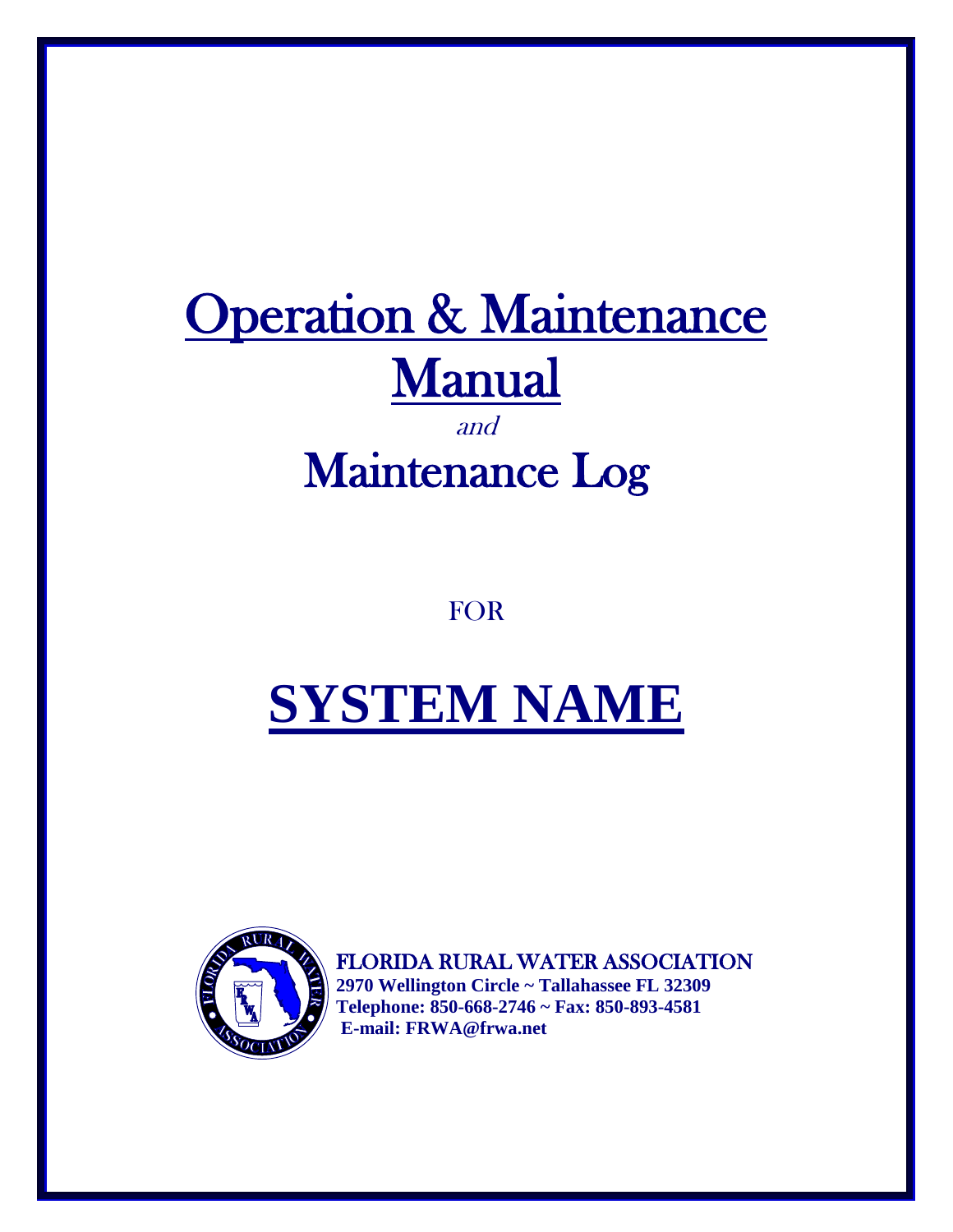# Operation & Maintenance Manual and Maintenance Log

FOR

# **SYSTEM NAME**



FLORIDA RURAL WATER ASSOCIATION **2970 Wellington Circle ~ Tallahassee FL 32309 Telephone: 850-668-2746 ~ Fax: 850-893-4581 E-mail: FRWA@frwa.net**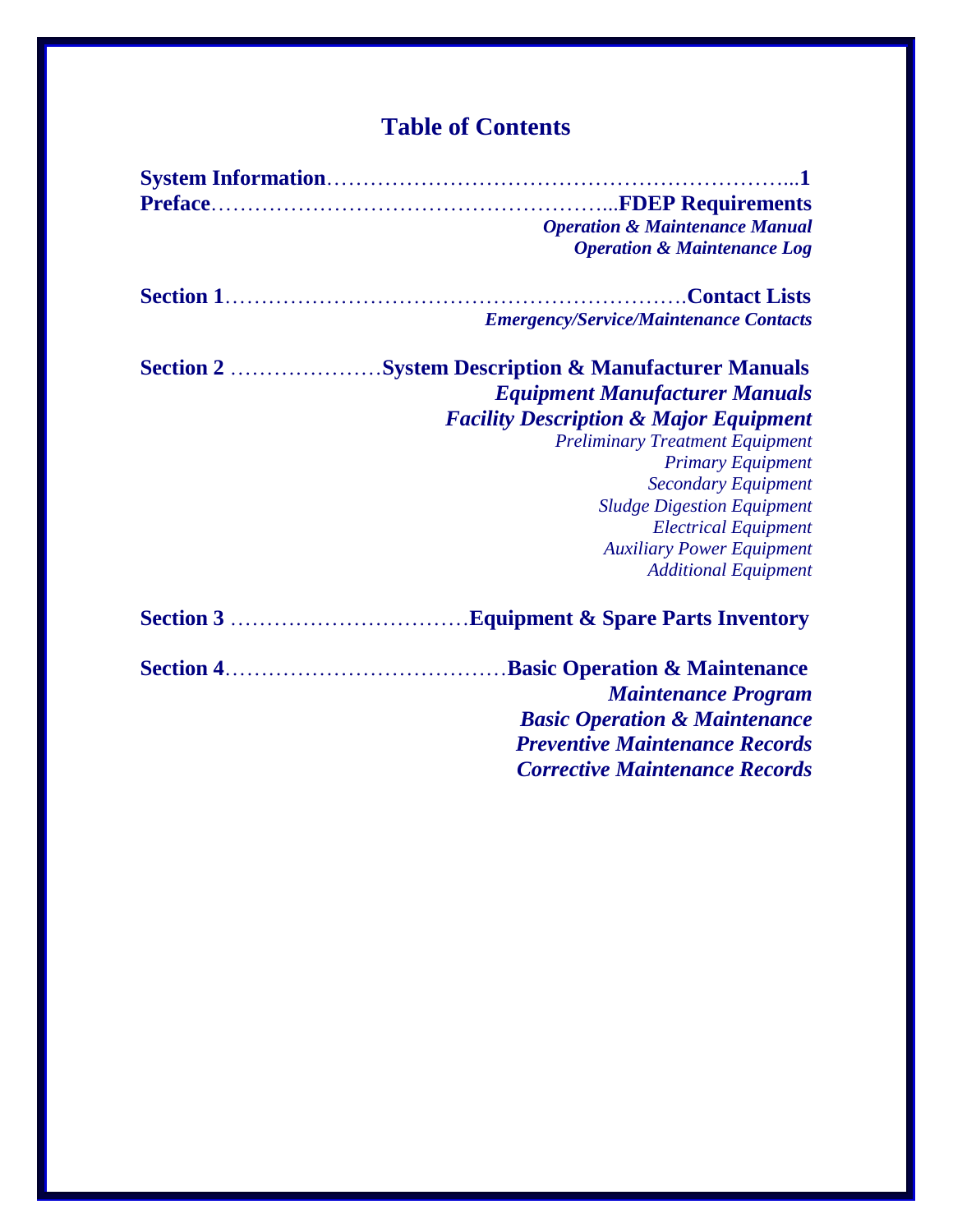### **Table of Contents**

|             | <b>FDEP Requirements</b>                             |
|-------------|------------------------------------------------------|
|             | <b>Operation &amp; Maintenance Manual</b>            |
|             | <b>Operation &amp; Maintenance Log</b>               |
|             |                                                      |
|             | <b>Emergency/Service/Maintenance Contacts</b>        |
| Section $2$ | <b>System Description &amp; Manufacturer Manuals</b> |
|             | <b>Equipment Manufacturer Manuals</b>                |
|             | <b>Facility Description &amp; Major Equipment</b>    |
|             | <b>Preliminary Treatment Equipment</b>               |
|             | <b>Primary Equipment</b>                             |
|             | <b>Secondary Equipment</b>                           |
|             | <b>Sludge Digestion Equipment</b>                    |
|             | <b>Electrical Equipment</b>                          |
|             | <b>Auxiliary Power Equipment</b>                     |
|             | <b>Additional Equipment</b>                          |
|             |                                                      |
|             |                                                      |
|             | <b>Maintenance Program</b>                           |
|             | <b>Basic Operation &amp; Maintenance</b>             |
|             | <b>Preventive Maintenance Records</b>                |
|             |                                                      |
|             | <b>Corrective Maintenance Records</b>                |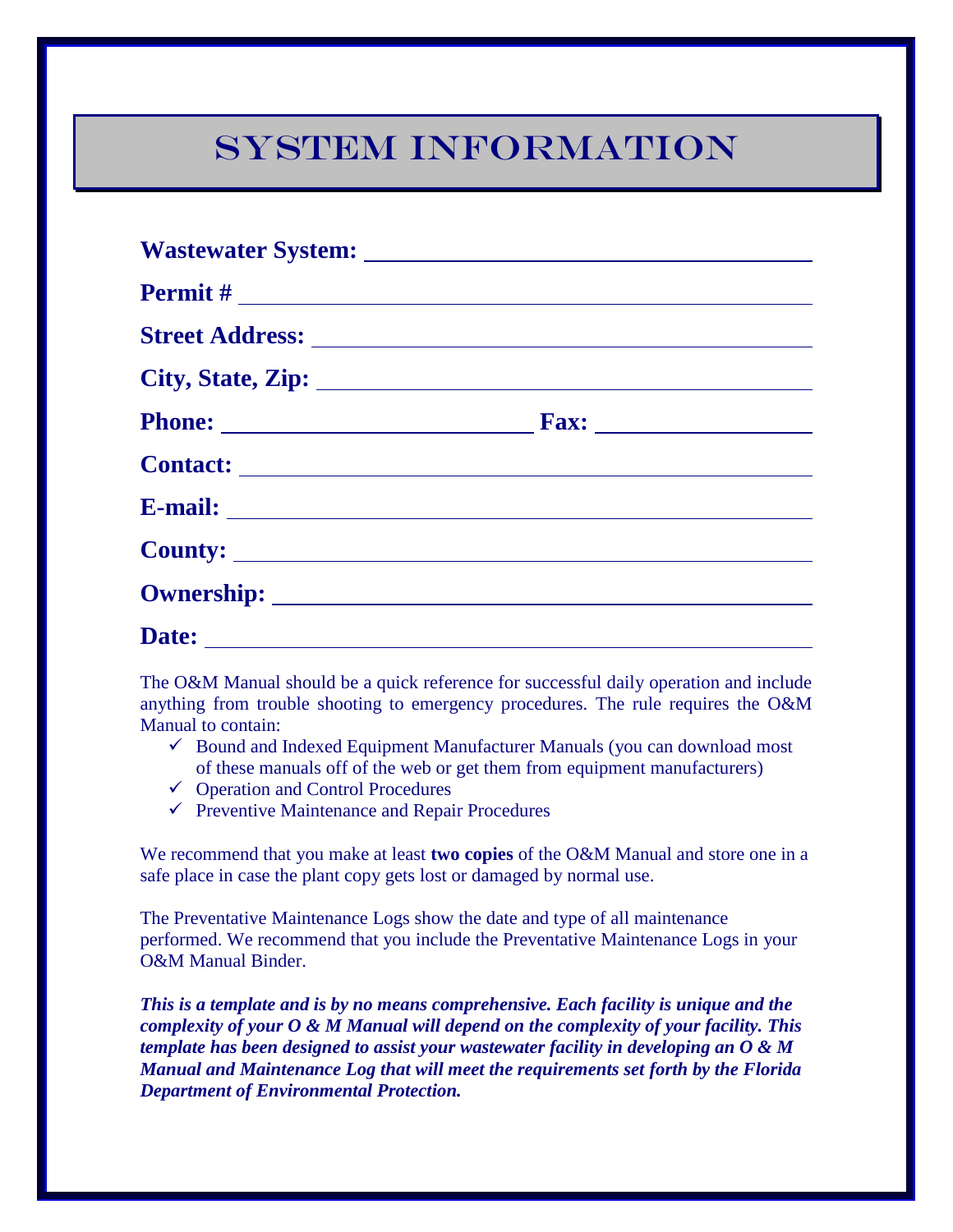### System Information

| $\textbf{Permit}\ \#$ |  |
|-----------------------|--|
|                       |  |
| City, State, Zip:     |  |
|                       |  |
| Contact:              |  |
|                       |  |
| County:               |  |
|                       |  |
|                       |  |

The O&M Manual should be a quick reference for successful daily operation and include anything from trouble shooting to emergency procedures. The rule requires the O&M Manual to contain:

- $\checkmark$  Bound and Indexed Equipment Manufacturer Manuals (you can download most of these manuals off of the web or get them from equipment manufacturers)
- $\checkmark$  Operation and Control Procedures
- $\checkmark$  Preventive Maintenance and Repair Procedures

We recommend that you make at least **two copies** of the O&M Manual and store one in a safe place in case the plant copy gets lost or damaged by normal use.

The Preventative Maintenance Logs show the date and type of all maintenance performed. We recommend that you include the Preventative Maintenance Logs in your O&M Manual Binder.

*This is a template and is by no means comprehensive. Each facility is unique and the complexity of your O & M Manual will depend on the complexity of your facility. This template has been designed to assist your wastewater facility in developing an O & M Manual and Maintenance Log that will meet the requirements set forth by the Florida Department of Environmental Protection.*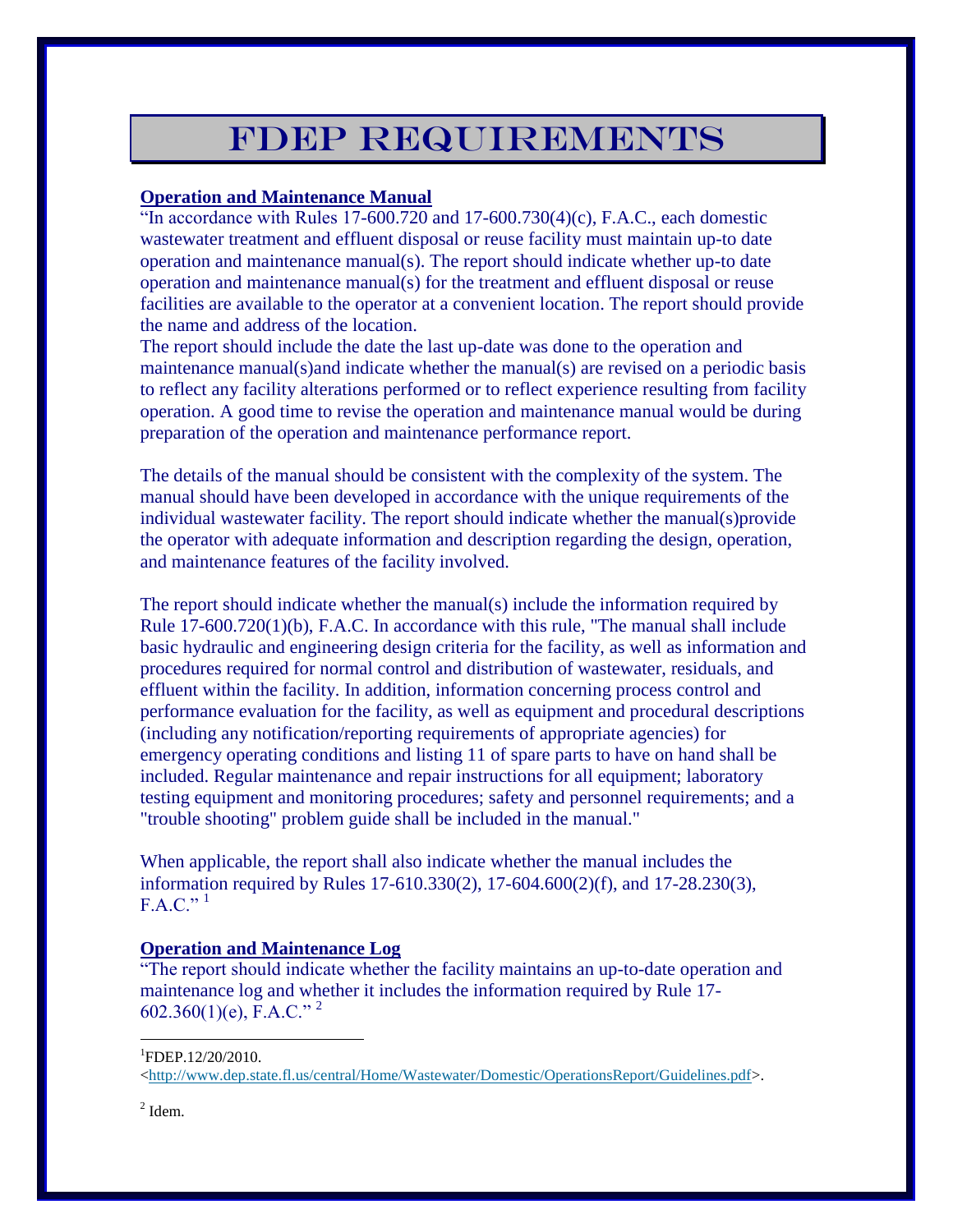### FDEP REQUIREMENTS

#### **Operation and Maintenance Manual**

 $\overline{C}$  in accordance with Rules 17-600.720 and 17-600.730(4)(c), F.A.C., each domestic wastewater treatment and effluent disposal or reuse facility must maintain up-to date operation and maintenance manual(s). The report should indicate whether up-to date operation and maintenance manual(s) for the treatment and effluent disposal or reuse facilities are available to the operator at a convenient location. The report should provide the name and address of the location.

The report should include the date the last up-date was done to the operation and maintenance manual(s)and indicate whether the manual(s) are revised on a periodic basis to reflect any facility alterations performed or to reflect experience resulting from facility operation. A good time to revise the operation and maintenance manual would be during preparation of the operation and maintenance performance report.

The details of the manual should be consistent with the complexity of the system. The manual should have been developed in accordance with the unique requirements of the individual wastewater facility. The report should indicate whether the manual(s)provide the operator with adequate information and description regarding the design, operation, and maintenance features of the facility involved.

The report should indicate whether the manual(s) include the information required by Rule 17-600.720(1)(b), F.A.C. In accordance with this rule, "The manual shall include basic hydraulic and engineering design criteria for the facility, as well as information and procedures required for normal control and distribution of wastewater, residuals, and effluent within the facility. In addition, information concerning process control and performance evaluation for the facility, as well as equipment and procedural descriptions (including any notification/reporting requirements of appropriate agencies) for emergency operating conditions and listing 11 of spare parts to have on hand shall be included. Regular maintenance and repair instructions for all equipment; laboratory testing equipment and monitoring procedures; safety and personnel requirements; and a "trouble shooting" problem guide shall be included in the manual."

When applicable, the report shall also indicate whether the manual includes the information required by Rules 17-610.330(2), 17-604.600(2)(f), and 17-28.230(3),  $F.A.C.$ <sup>" 1</sup>

#### **Operation and Maintenance Log**

"The report should indicate whether the facility maintains an up-to-date operation and maintenance log and whether it includes the information required by Rule 17- 602.360(1)(e), F.A.C." <sup>2</sup>

#### <sup>1</sup>FDEP.12/20/2010.

[<http://www.dep.state.fl.us/central/Home/Wastewater/Domestic/OperationsReport/Guidelines.pdf>](http://www.dep.state.fl.us/central/Home/Wastewater/Domestic/OperationsReport/Guidelines.pdf).

 $2$  Idem.

 $\overline{a}$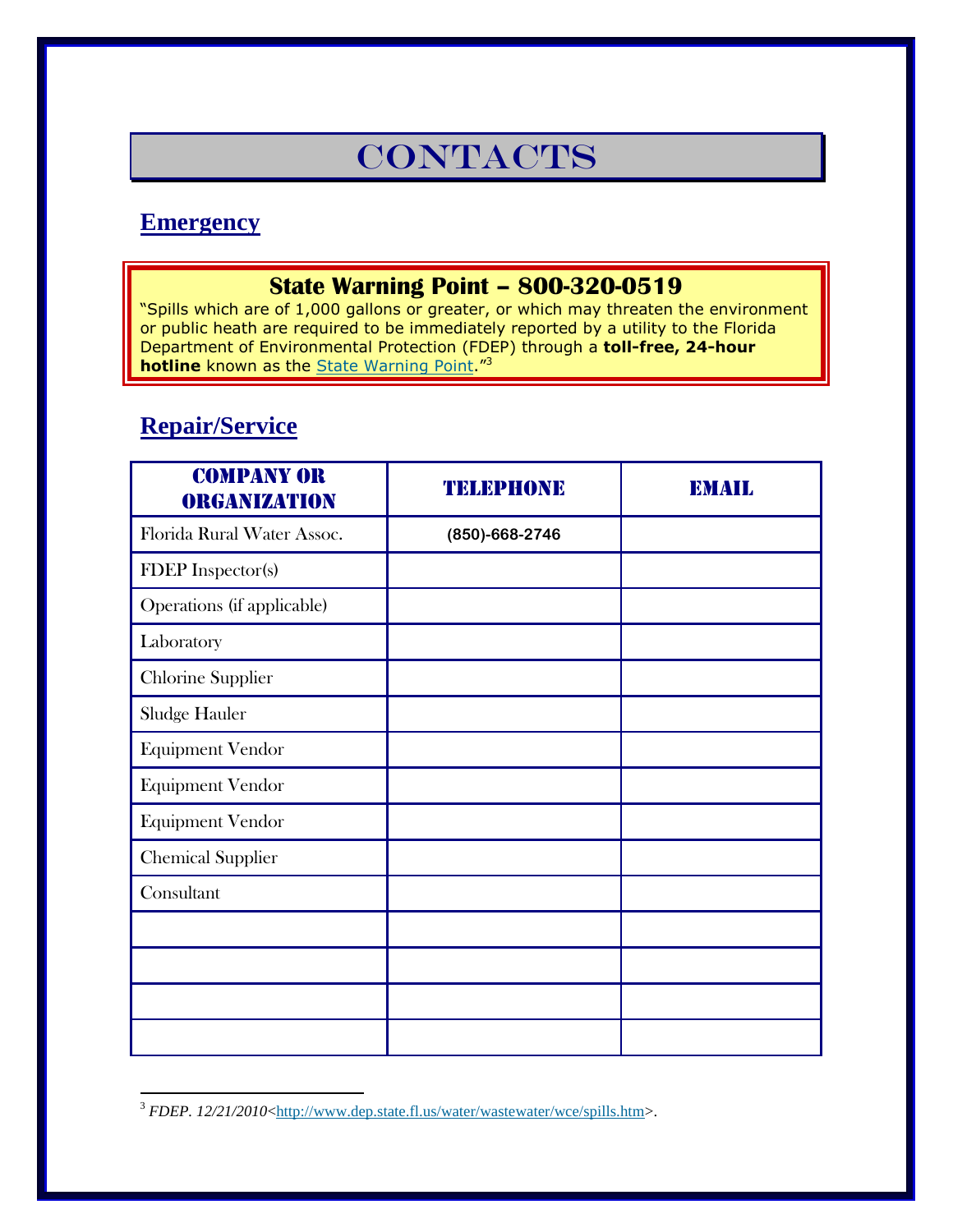### **CONTACTS**

### **Emergency**

### **State Warning Point [–](http://floridadisaster.org/Response/Operations/swp.htm) 800-320-0519**

"Spills which are of 1,000 gallons or greater, or which may threaten the environment or public heath are required to be immediately reported by a utility to the Florida Department of Environmental Protection (FDEP) through a **toll-free, 24-hour hotline** known as the **State Warning Point**."3

### **Repair/Service**

 $\overline{a}$ 

| <b>COMPANY OR</b><br><b>ORGANIZATION</b> | TELEPHONE      | IMMATIL |
|------------------------------------------|----------------|---------|
| Florida Rural Water Assoc.               | (850)-668-2746 |         |
| FDEP Inspector(s)                        |                |         |
| Operations (if applicable)               |                |         |
| Laboratory                               |                |         |
| Chlorine Supplier                        |                |         |
| Sludge Hauler                            |                |         |
| <b>Equipment Vendor</b>                  |                |         |
| <b>Equipment Vendor</b>                  |                |         |
| <b>Equipment Vendor</b>                  |                |         |
| <b>Chemical Supplier</b>                 |                |         |
| Consultant                               |                |         |
|                                          |                |         |
|                                          |                |         |
|                                          |                |         |
|                                          |                |         |

<sup>&</sup>lt;sup>3</sup> *FDEP.* 12/21/2010[<http://www.dep.state.fl.us/water/wastewater/wce/spills.htm>](http://www.dep.state.fl.us/water/wastewater/wce/spills.htm).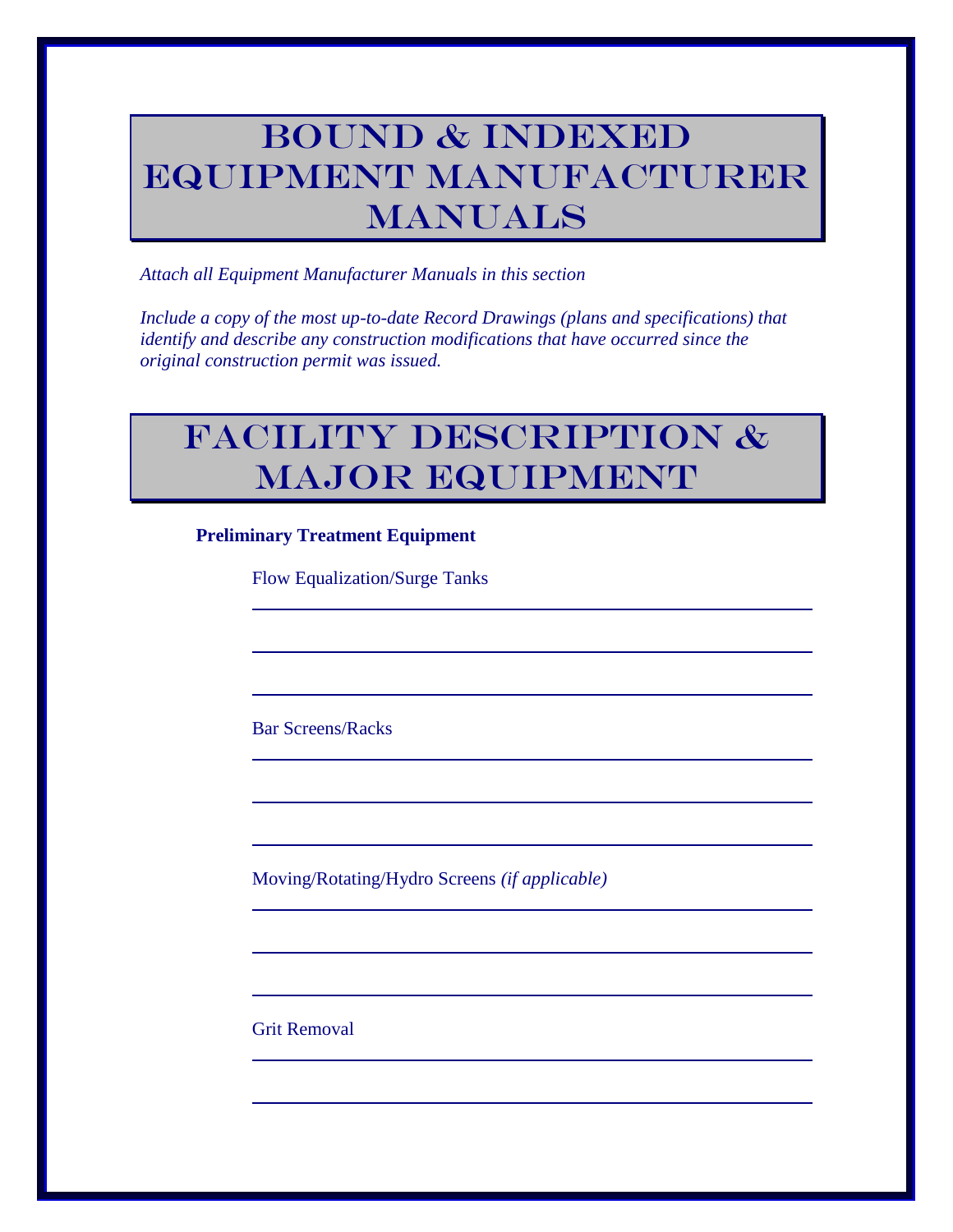### Bound & Indexed Equipment Manufacturer **MANUALS**

*Attach all Equipment Manufacturer Manuals in this section*

*Include a copy of the most up-to-date Record Drawings (plans and specifications) that identify and describe any construction modifications that have occurred since the original construction permit was issued.* 

### Facility Description & MAJOR EQUIPMENT

#### **Preliminary Treatment Equipment**

Flow Equalization/Surge Tanks

Bar Screens/Racks

Moving/Rotating/Hydro Screens *(if applicable)*

Grit Removal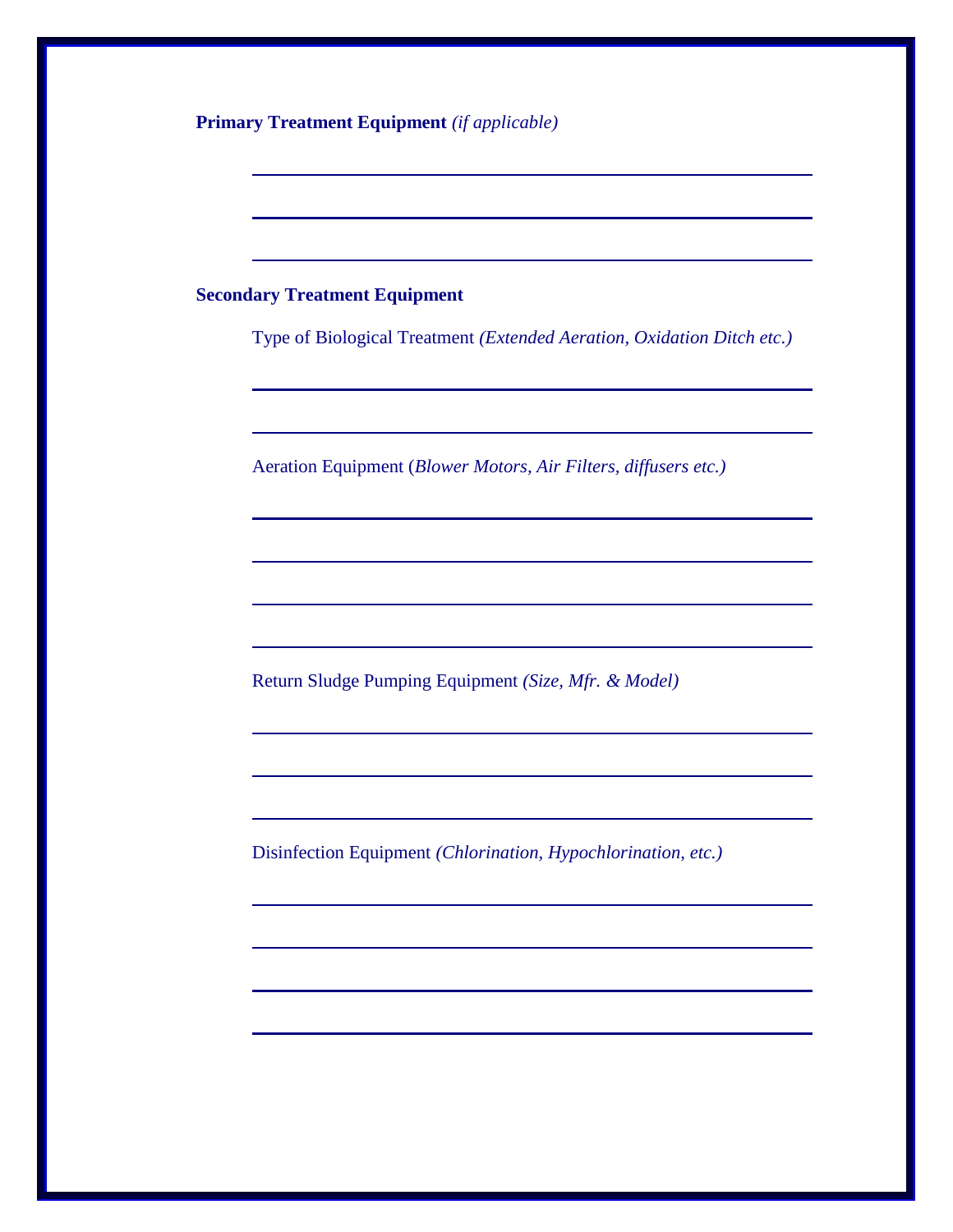**Primary Treatment Equipment** *(if applicable)*

### **Secondary Treatment Equipment**

Type of Biological Treatment *(Extended Aeration, Oxidation Ditch etc.)*

Aeration Equipment (*Blower Motors, Air Filters, diffusers etc.)*

Return Sludge Pumping Equipment *(Size, Mfr. & Model)*

Disinfection Equipment *(Chlorination, Hypochlorination, etc.)*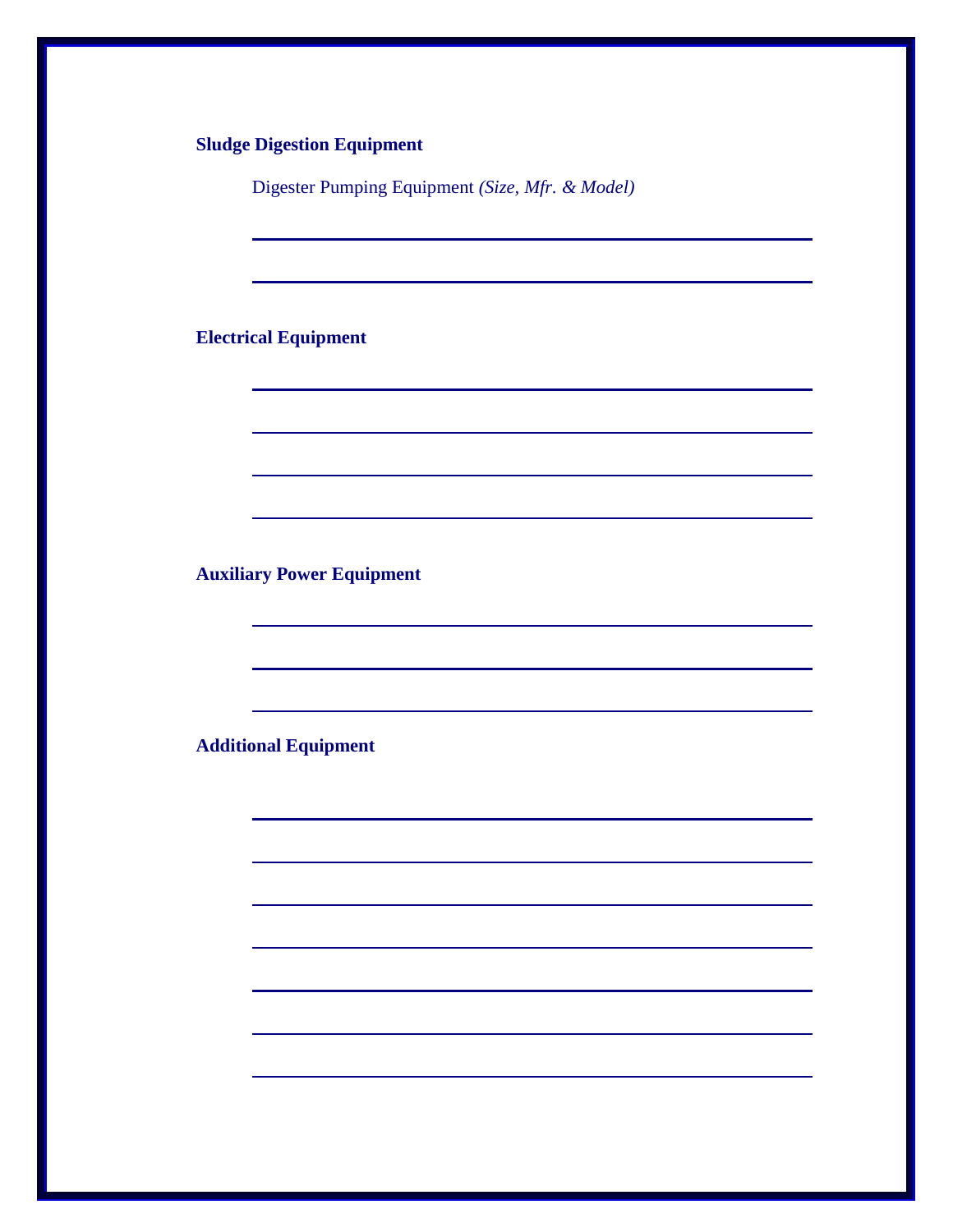#### **Sludge Digestion Equipment**

Digester Pumping Equipment *(Size, Mfr. & Model)*

**Electrical Equipment**

**Auxiliary Power Equipment** 

**Additional Equipment**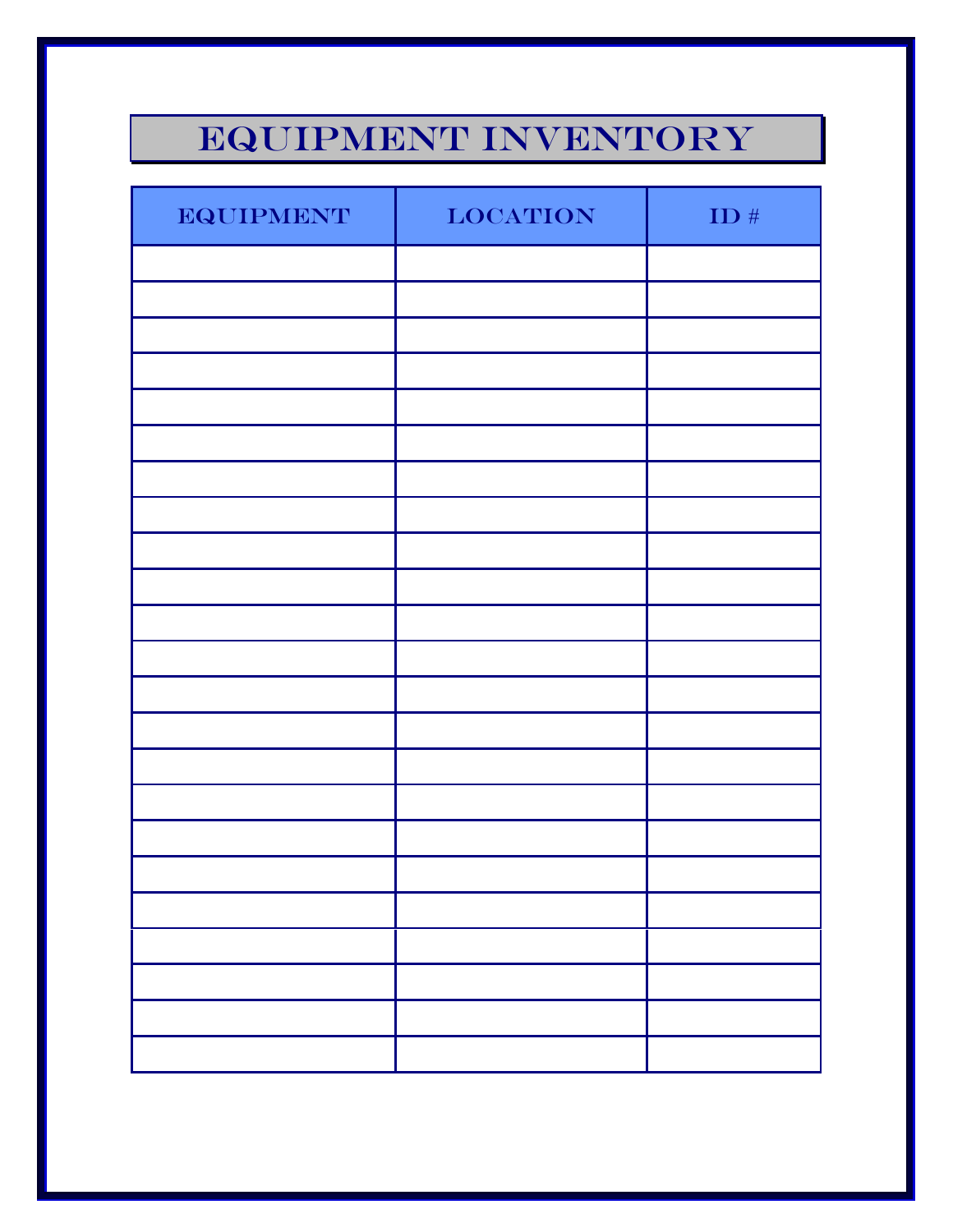## EQUIPMENT INVENTORY

| <b>EQUIPMENT</b> | <b>LOCATION</b> | ID # |
|------------------|-----------------|------|
|                  |                 |      |
|                  |                 |      |
|                  |                 |      |
|                  |                 |      |
|                  |                 |      |
|                  |                 |      |
|                  |                 |      |
|                  |                 |      |
|                  |                 |      |
|                  |                 |      |
|                  |                 |      |
|                  |                 |      |
|                  |                 |      |
|                  |                 |      |
|                  |                 |      |
|                  |                 |      |
|                  |                 |      |
|                  |                 |      |
|                  |                 |      |
|                  |                 |      |
|                  |                 |      |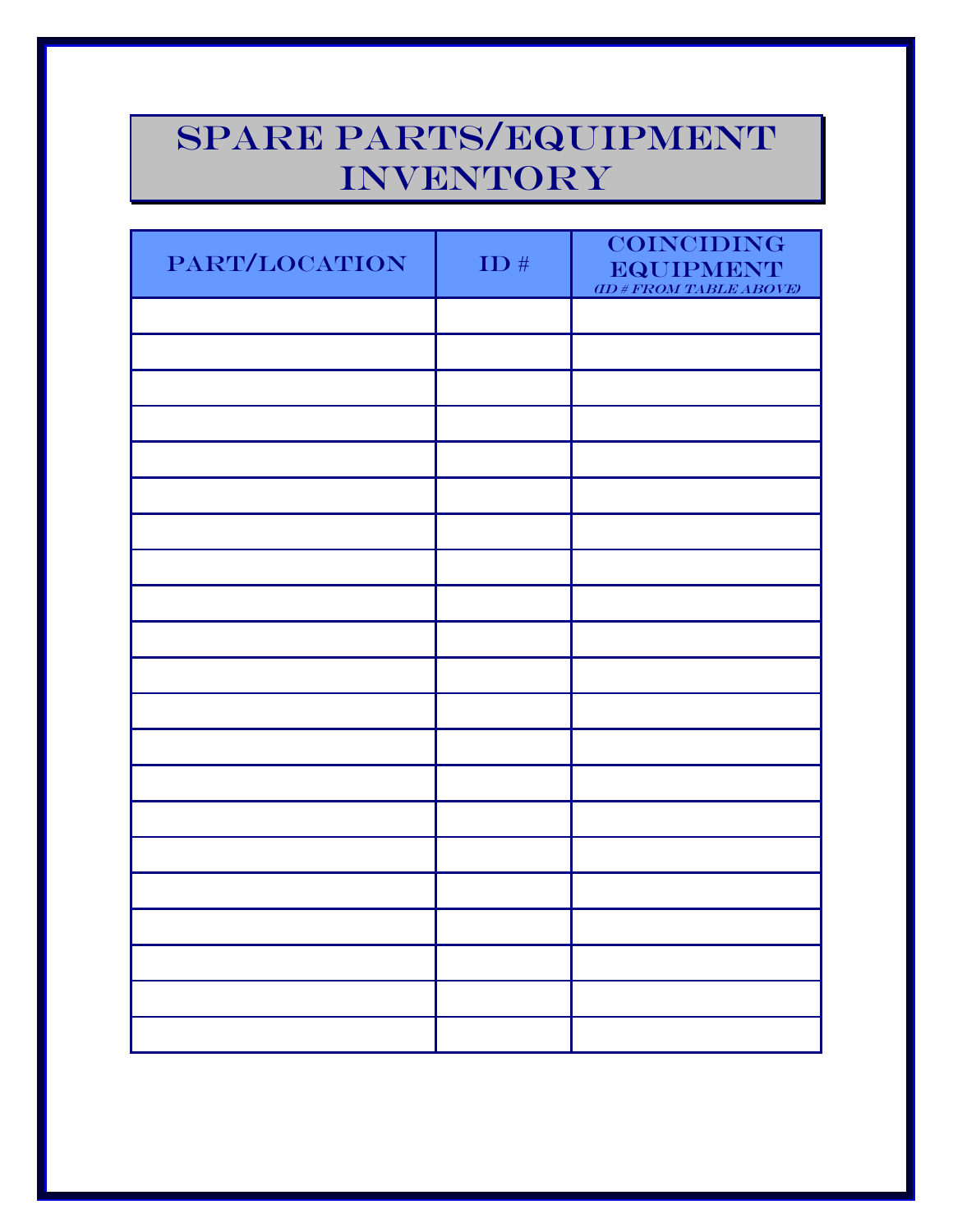## SPARE PARTS/EQUIPMENT **INVENTORY**

| PART/LOCATION | ID # | <b>COINCIDING</b><br><b>EQUIPMENT</b><br>$\label{eq:decomp} \textit{(\underline{ID} \# FROM TABLE \underline{ABOVE})}$ |
|---------------|------|------------------------------------------------------------------------------------------------------------------------|
|               |      |                                                                                                                        |
|               |      |                                                                                                                        |
|               |      |                                                                                                                        |
|               |      |                                                                                                                        |
|               |      |                                                                                                                        |
|               |      |                                                                                                                        |
|               |      |                                                                                                                        |
|               |      |                                                                                                                        |
|               |      |                                                                                                                        |
|               |      |                                                                                                                        |
|               |      |                                                                                                                        |
|               |      |                                                                                                                        |
|               |      |                                                                                                                        |
|               |      |                                                                                                                        |
|               |      |                                                                                                                        |
|               |      |                                                                                                                        |
|               |      |                                                                                                                        |
|               |      |                                                                                                                        |
|               |      |                                                                                                                        |
|               |      |                                                                                                                        |
|               |      |                                                                                                                        |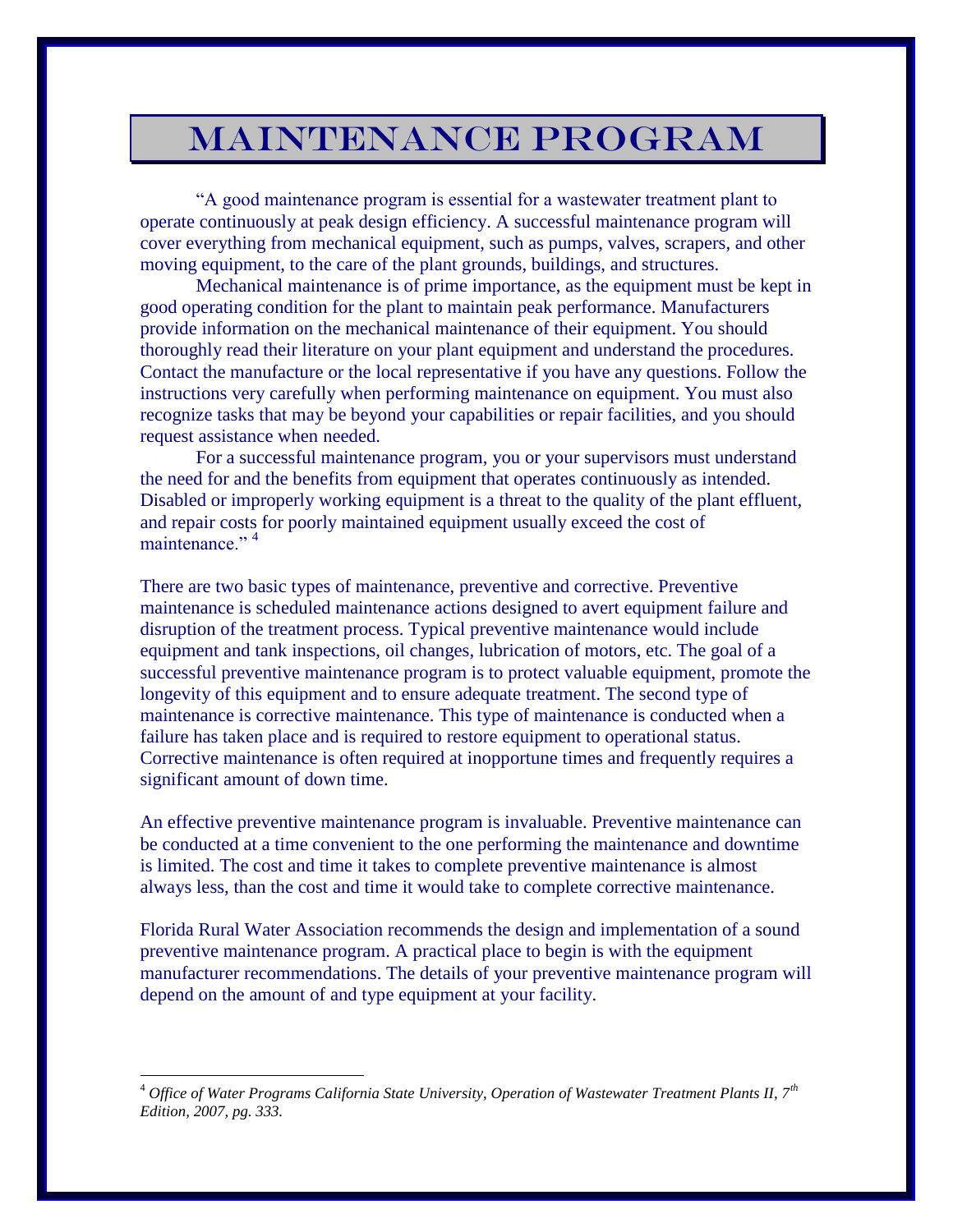### Maintenance Program

"A good maintenance program is essential for a wastewater treatment plant to operate continuously at peak design efficiency. A successful maintenance program will cover everything from mechanical equipment, such as pumps, valves, scrapers, and other moving equipment, to the care of the plant grounds, buildings, and structures.

Mechanical maintenance is of prime importance, as the equipment must be kept in good operating condition for the plant to maintain peak performance. Manufacturers provide information on the mechanical maintenance of their equipment. You should thoroughly read their literature on your plant equipment and understand the procedures. Contact the manufacture or the local representative if you have any questions. Follow the instructions very carefully when performing maintenance on equipment. You must also recognize tasks that may be beyond your capabilities or repair facilities, and you should request assistance when needed.

For a successful maintenance program, you or your supervisors must understand the need for and the benefits from equipment that operates continuously as intended. Disabled or improperly working equipment is a threat to the quality of the plant effluent, and repair costs for poorly maintained equipment usually exceed the cost of maintenance  $"$ <sup>4</sup>

There are two basic types of maintenance, preventive and corrective. Preventive maintenance is scheduled maintenance actions designed to avert equipment failure and disruption of the treatment process. Typical preventive maintenance would include equipment and tank inspections, oil changes, lubrication of motors, etc. The goal of a successful preventive maintenance program is to protect valuable equipment, promote the longevity of this equipment and to ensure adequate treatment. The second type of maintenance is corrective maintenance. This type of maintenance is conducted when a failure has taken place and is required to restore equipment to operational status. Corrective maintenance is often required at inopportune times and frequently requires a significant amount of down time.

An effective preventive maintenance program is invaluable. Preventive maintenance can be conducted at a time convenient to the one performing the maintenance and downtime is limited. The cost and time it takes to complete preventive maintenance is almost always less, than the cost and time it would take to complete corrective maintenance.

Florida Rural Water Association recommends the design and implementation of a sound preventive maintenance program. A practical place to begin is with the equipment manufacturer recommendations. The details of your preventive maintenance program will depend on the amount of and type equipment at your facility.

 $\overline{a}$ 

<sup>4</sup> *Office of Water Programs California State University, Operation of Wastewater Treatment Plants II, 7th Edition, 2007, pg. 333.*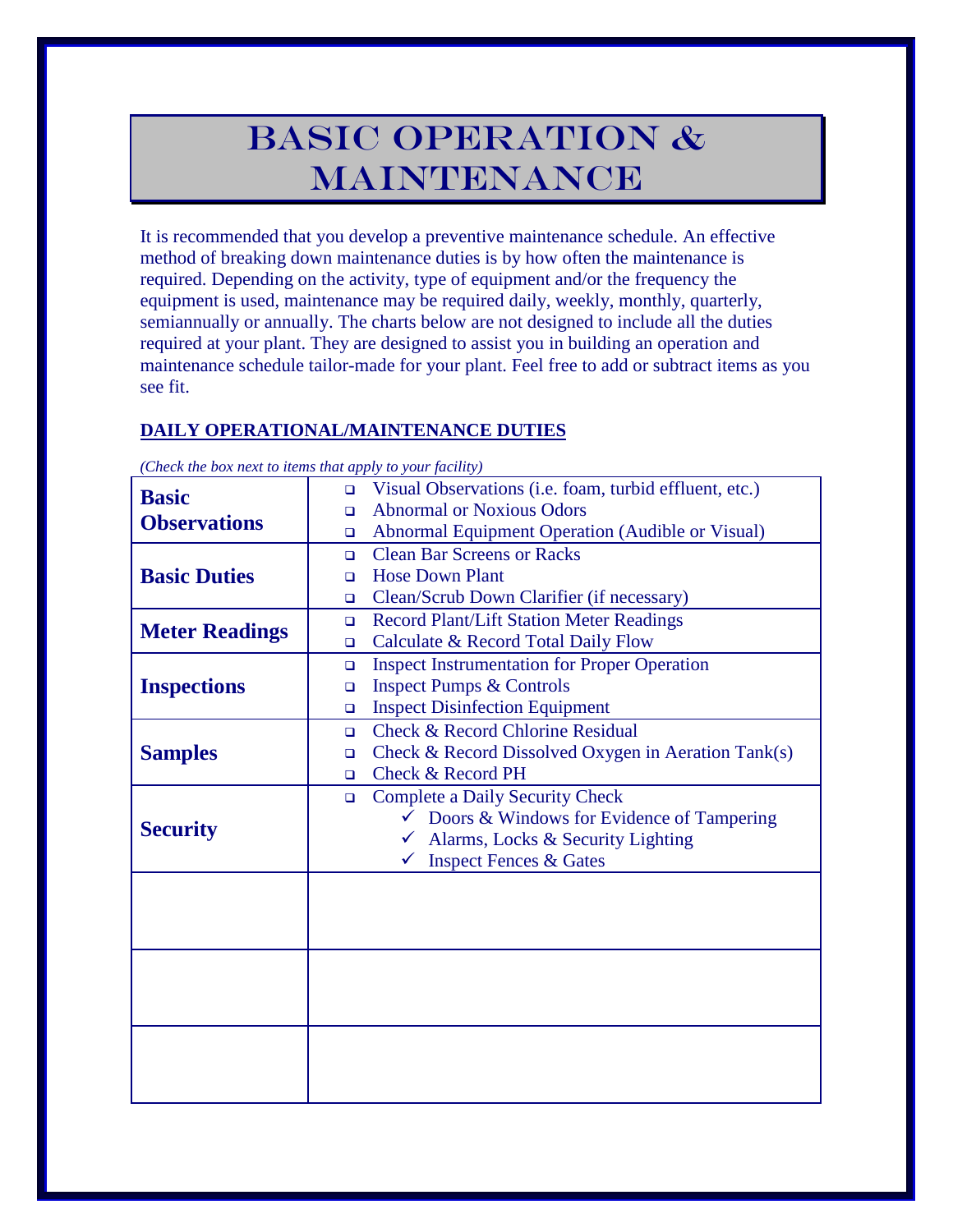### BASIC OPERATION & Maintenance

It is recommended that you develop a preventive maintenance schedule. An effective method of breaking down maintenance duties is by how often the maintenance is required. Depending on the activity, type of equipment and/or the frequency the equipment is used, maintenance may be required daily, weekly, monthly, quarterly, semiannually or annually. The charts below are not designed to include all the duties required at your plant. They are designed to assist you in building an operation and maintenance schedule tailor-made for your plant. Feel free to add or subtract items as you see fit.

#### **DAILY OPERATIONAL/MAINTENANCE DUTIES**

*(Check the box next to items that apply to your facility)*

| <b>Basic</b>          | ◻           | Visual Observations (i.e. foam, turbid effluent, etc.)<br><b>Abnormal or Noxious Odors</b> |  |  |  |  |
|-----------------------|-------------|--------------------------------------------------------------------------------------------|--|--|--|--|
| <b>Observations</b>   | ◻<br>◘      | Abnormal Equipment Operation (Audible or Visual)                                           |  |  |  |  |
|                       | ◻           | <b>Clean Bar Screens or Racks</b>                                                          |  |  |  |  |
| <b>Basic Duties</b>   | □           | <b>Hose Down Plant</b>                                                                     |  |  |  |  |
|                       | $\Box$      | Clean/Scrub Down Clarifier (if necessary)                                                  |  |  |  |  |
| <b>Meter Readings</b> | $\Box$<br>□ | <b>Record Plant/Lift Station Meter Readings</b><br>Calculate & Record Total Daily Flow     |  |  |  |  |
|                       | $\Box$      | <b>Inspect Instrumentation for Proper Operation</b>                                        |  |  |  |  |
| <b>Inspections</b>    | о           | <b>Inspect Pumps &amp; Controls</b>                                                        |  |  |  |  |
|                       | o           | <b>Inspect Disinfection Equipment</b>                                                      |  |  |  |  |
|                       | ◻           | <b>Check &amp; Record Chlorine Residual</b>                                                |  |  |  |  |
| <b>Samples</b>        | □           | Check & Record Dissolved Oxygen in Aeration Tank(s)                                        |  |  |  |  |
|                       | ◻           | <b>Check &amp; Record PH</b>                                                               |  |  |  |  |
|                       |             | <b>Complete a Daily Security Check</b>                                                     |  |  |  |  |
|                       | $\Box$      |                                                                                            |  |  |  |  |
|                       |             | $\checkmark$ Doors & Windows for Evidence of Tampering                                     |  |  |  |  |
| <b>Security</b>       |             | $\checkmark$ Alarms, Locks & Security Lighting                                             |  |  |  |  |
|                       |             | <b>Inspect Fences &amp; Gates</b><br>✓                                                     |  |  |  |  |
|                       |             |                                                                                            |  |  |  |  |
|                       |             |                                                                                            |  |  |  |  |
|                       |             |                                                                                            |  |  |  |  |
|                       |             |                                                                                            |  |  |  |  |
|                       |             |                                                                                            |  |  |  |  |
|                       |             |                                                                                            |  |  |  |  |
|                       |             |                                                                                            |  |  |  |  |
|                       |             |                                                                                            |  |  |  |  |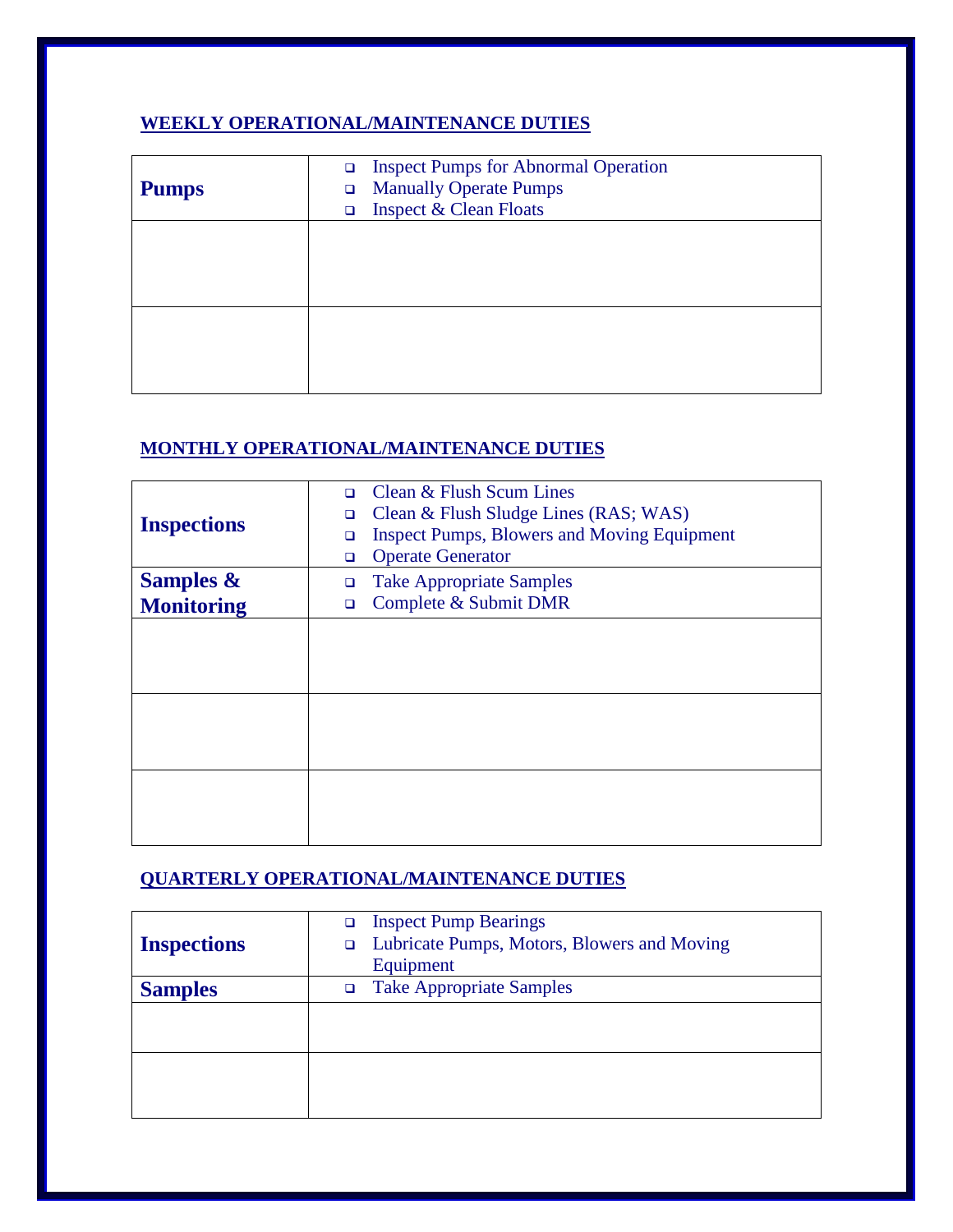#### **WEEKLY OPERATIONAL/MAINTENANCE DUTIES**

| <b>Pumps</b> | <b>Inspect Pumps for Abnormal Operation</b><br>$\Box$<br><b>Manually Operate Pumps</b><br>$\Box$ |
|--------------|--------------------------------------------------------------------------------------------------|
|              | <b>Inspect &amp; Clean Floats</b><br>$\Box$                                                      |
|              |                                                                                                  |
|              |                                                                                                  |
|              |                                                                                                  |
|              |                                                                                                  |
|              |                                                                                                  |

### **MONTHLY OPERATIONAL/MAINTENANCE DUTIES**

|                      | Clean & Flush Scum Lines<br>$\Box$                      |  |  |  |  |
|----------------------|---------------------------------------------------------|--|--|--|--|
|                      | Clean & Flush Sludge Lines (RAS; WAS)<br>◻              |  |  |  |  |
| <b>Inspections</b>   | <b>Inspect Pumps, Blowers and Moving Equipment</b><br>□ |  |  |  |  |
|                      | <b>Operate Generator</b><br>◻                           |  |  |  |  |
| <b>Samples &amp;</b> | <b>Take Appropriate Samples</b><br>□                    |  |  |  |  |
| <b>Monitoring</b>    | Complete & Submit DMR<br>о                              |  |  |  |  |
|                      |                                                         |  |  |  |  |
|                      |                                                         |  |  |  |  |
|                      |                                                         |  |  |  |  |
|                      |                                                         |  |  |  |  |
|                      |                                                         |  |  |  |  |
|                      |                                                         |  |  |  |  |
|                      |                                                         |  |  |  |  |
|                      |                                                         |  |  |  |  |
|                      |                                                         |  |  |  |  |
|                      |                                                         |  |  |  |  |
|                      |                                                         |  |  |  |  |

#### **QUARTERLY OPERATIONAL/MAINTENANCE DUTIES**

| <b>Inspections</b> | <b>Inspect Pump Bearings</b><br>o<br>$\Box$ Lubricate Pumps, Motors, Blowers and Moving<br>Equipment |
|--------------------|------------------------------------------------------------------------------------------------------|
| <b>Samples</b>     | <b>Take Appropriate Samples</b><br>$\Box$                                                            |
|                    |                                                                                                      |
|                    |                                                                                                      |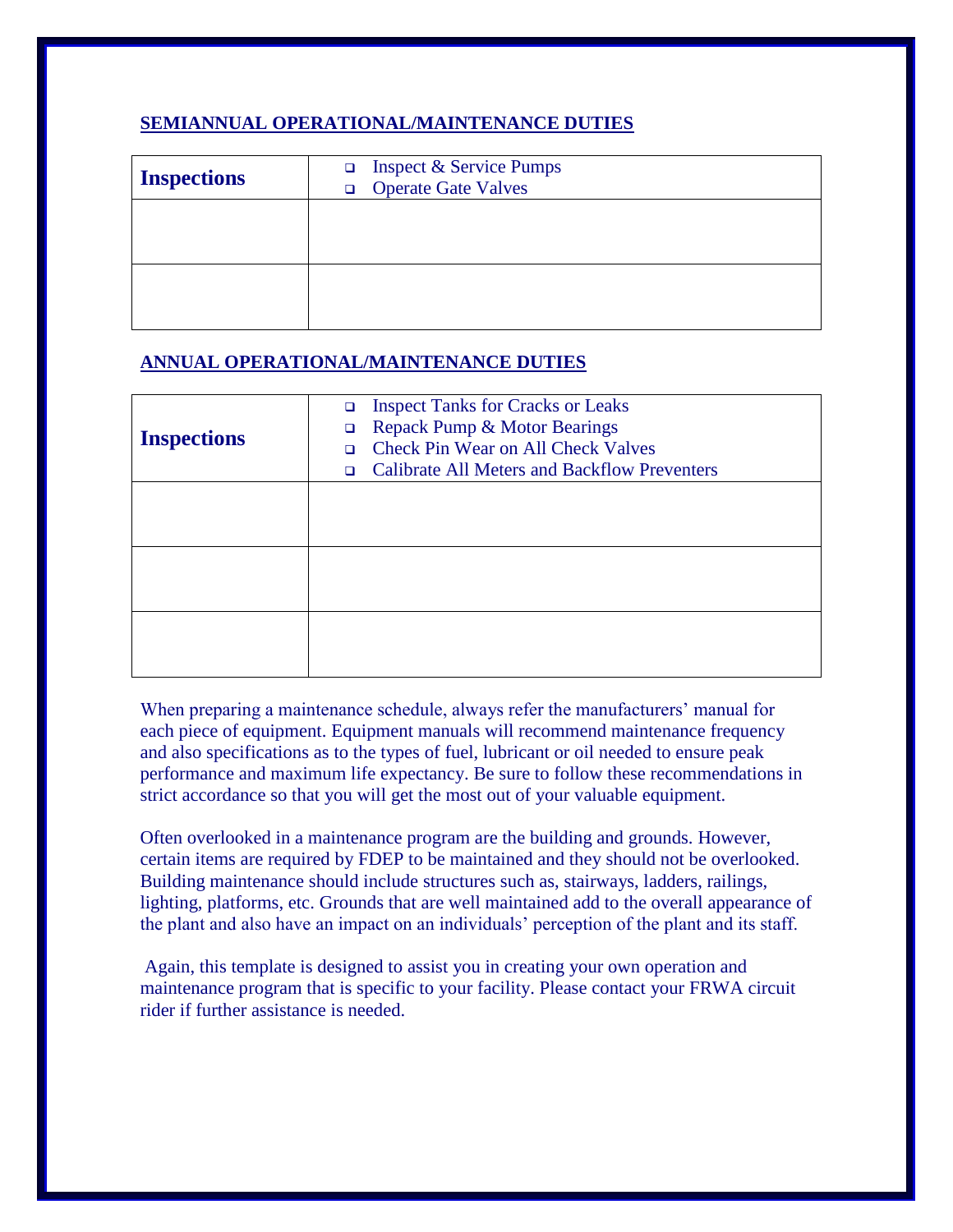#### **SEMIANNUAL OPERATIONAL/MAINTENANCE DUTIES**

| <b>Inspections</b> | <b>Inspect &amp; Service Pumps</b><br><b>Operate Gate Valves</b><br>$\Box$ |
|--------------------|----------------------------------------------------------------------------|
|                    |                                                                            |
|                    |                                                                            |
|                    |                                                                            |

#### **ANNUAL OPERATIONAL/MAINTENANCE DUTIES**

| <b>Inspections</b> | <b>Inspect Tanks for Cracks or Leaks</b><br>o<br><b>Repack Pump &amp; Motor Bearings</b><br>□<br><b>Check Pin Wear on All Check Valves</b><br>n<br><b>Calibrate All Meters and Backflow Preventers</b><br>⊓ |
|--------------------|-------------------------------------------------------------------------------------------------------------------------------------------------------------------------------------------------------------|
|                    |                                                                                                                                                                                                             |
|                    |                                                                                                                                                                                                             |
|                    |                                                                                                                                                                                                             |

When preparing a maintenance schedule, always refer the manufacturers' manual for each piece of equipment. Equipment manuals will recommend maintenance frequency and also specifications as to the types of fuel, lubricant or oil needed to ensure peak performance and maximum life expectancy. Be sure to follow these recommendations in strict accordance so that you will get the most out of your valuable equipment.

Often overlooked in a maintenance program are the building and grounds. However, certain items are required by FDEP to be maintained and they should not be overlooked. Building maintenance should include structures such as, stairways, ladders, railings, lighting, platforms, etc. Grounds that are well maintained add to the overall appearance of the plant and also have an impact on an individuals' perception of the plant and its staff.

Again, this template is designed to assist you in creating your own operation and maintenance program that is specific to your facility. Please contact your FRWA circuit rider if further assistance is needed.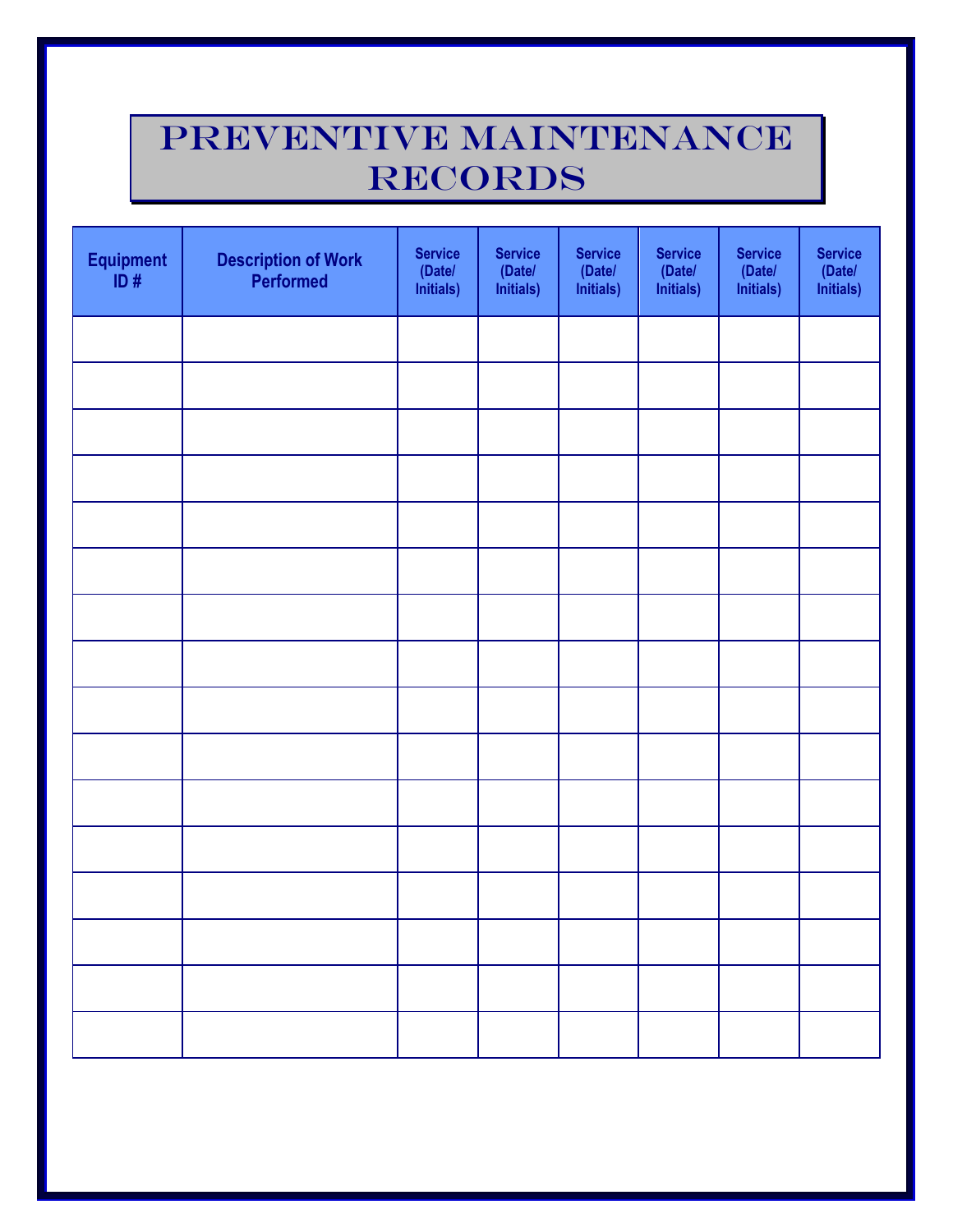## PREVENTIVE MAINTENANCE **RECORDS**

| <b>Equipment</b><br>ID# | <b>Description of Work</b><br>Performed | <b>Service</b><br>(Date/<br>Initials) | <b>Service</b><br>(Date/<br>Initials) | <b>Service</b><br>(Date/<br>Initials) | <b>Service</b><br>(Date/<br>Initials) | <b>Service</b><br>(Date/<br>Initials) | <b>Service</b><br>(Date/<br>Initials) |
|-------------------------|-----------------------------------------|---------------------------------------|---------------------------------------|---------------------------------------|---------------------------------------|---------------------------------------|---------------------------------------|
|                         |                                         |                                       |                                       |                                       |                                       |                                       |                                       |
|                         |                                         |                                       |                                       |                                       |                                       |                                       |                                       |
|                         |                                         |                                       |                                       |                                       |                                       |                                       |                                       |
|                         |                                         |                                       |                                       |                                       |                                       |                                       |                                       |
|                         |                                         |                                       |                                       |                                       |                                       |                                       |                                       |
|                         |                                         |                                       |                                       |                                       |                                       |                                       |                                       |
|                         |                                         |                                       |                                       |                                       |                                       |                                       |                                       |
|                         |                                         |                                       |                                       |                                       |                                       |                                       |                                       |
|                         |                                         |                                       |                                       |                                       |                                       |                                       |                                       |
|                         |                                         |                                       |                                       |                                       |                                       |                                       |                                       |
|                         |                                         |                                       |                                       |                                       |                                       |                                       |                                       |
|                         |                                         |                                       |                                       |                                       |                                       |                                       |                                       |
|                         |                                         |                                       |                                       |                                       |                                       |                                       |                                       |
|                         |                                         |                                       |                                       |                                       |                                       |                                       |                                       |
|                         |                                         |                                       |                                       |                                       |                                       |                                       |                                       |
|                         |                                         |                                       |                                       |                                       |                                       |                                       |                                       |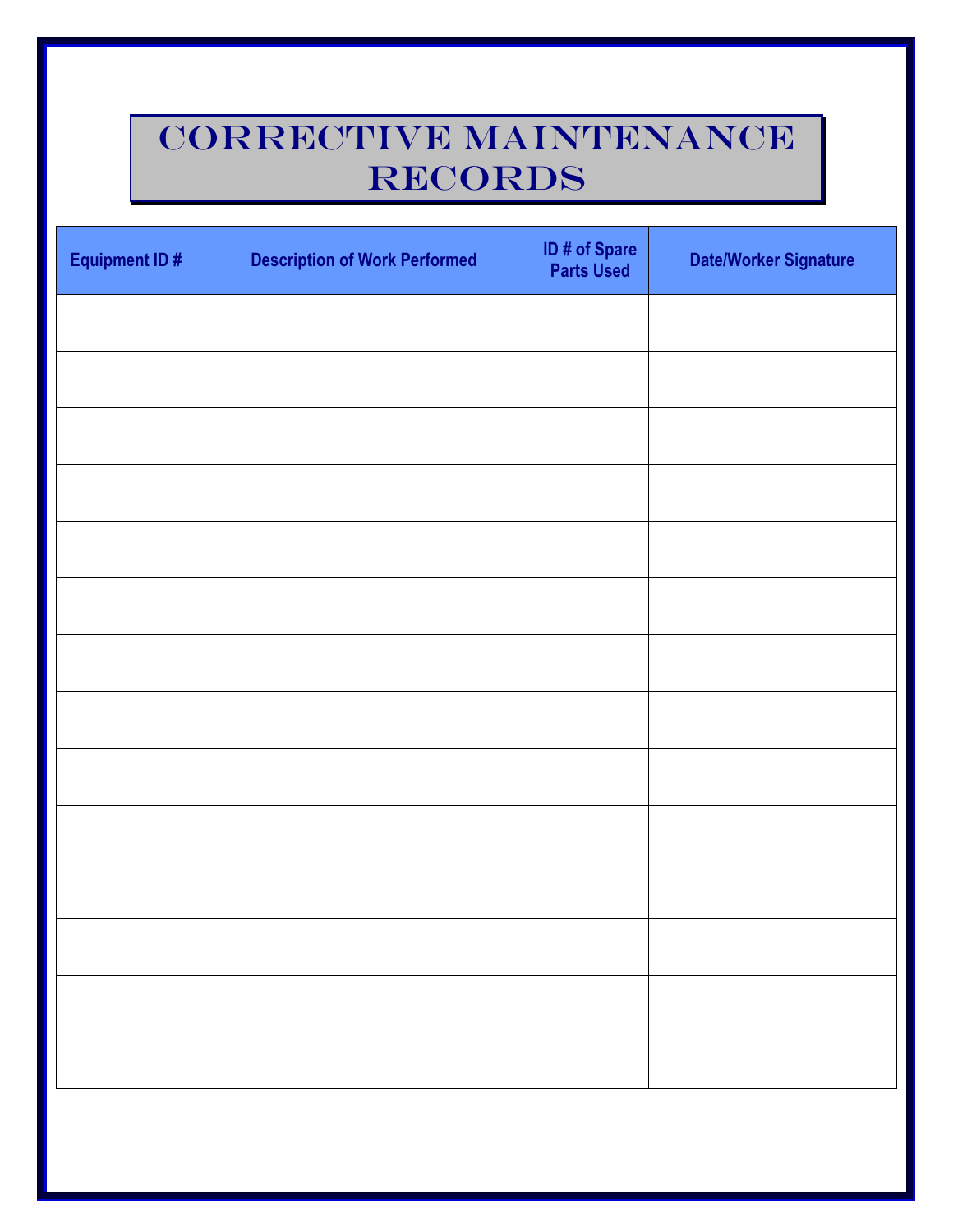### CORRECTIVE MAINTENANCE **RECORDS**

| <b>Equipment ID#</b> | <b>Description of Work Performed</b> | <b>ID # of Spare<br/>Parts Used</b> | <b>Date/Worker Signature</b> |
|----------------------|--------------------------------------|-------------------------------------|------------------------------|
|                      |                                      |                                     |                              |
|                      |                                      |                                     |                              |
|                      |                                      |                                     |                              |
|                      |                                      |                                     |                              |
|                      |                                      |                                     |                              |
|                      |                                      |                                     |                              |
|                      |                                      |                                     |                              |
|                      |                                      |                                     |                              |
|                      |                                      |                                     |                              |
|                      |                                      |                                     |                              |
|                      |                                      |                                     |                              |
|                      |                                      |                                     |                              |
|                      |                                      |                                     |                              |
|                      |                                      |                                     |                              |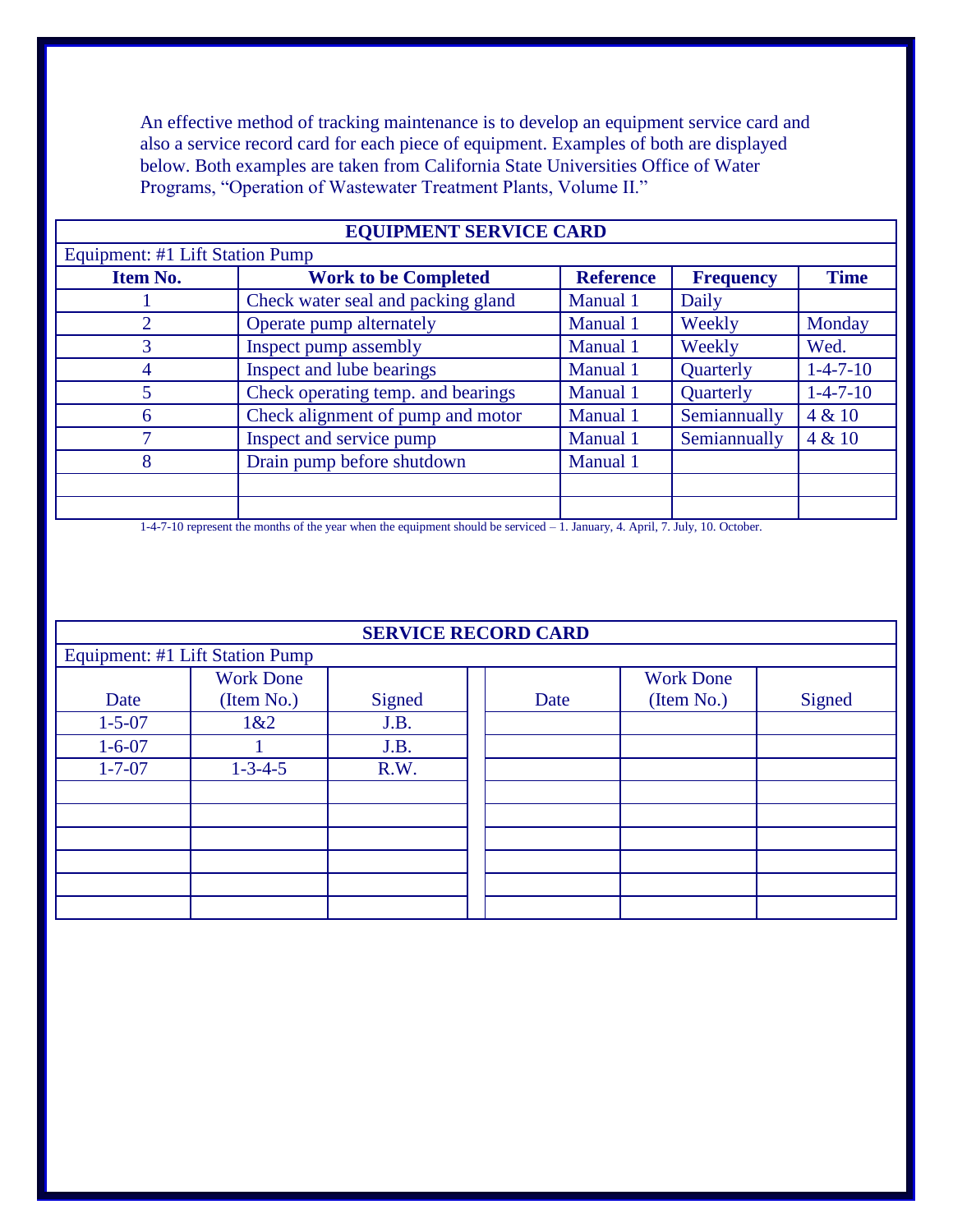An effective method of tracking maintenance is to develop an equipment service card and also a service record card for each piece of equipment. Examples of both are displayed below. Both examples are taken from California State Universities Office of Water Programs, "Operation of Wastewater Treatment Plants, Volume II."

|                                        | <b>EQUIPMENT SERVICE CARD</b>                   |          |                  |                  |  |
|----------------------------------------|-------------------------------------------------|----------|------------------|------------------|--|
| <b>Equipment: #1 Lift Station Pump</b> |                                                 |          |                  |                  |  |
| <b>Item No.</b>                        | <b>Reference</b><br><b>Work to be Completed</b> |          | <b>Frequency</b> | <b>Time</b>      |  |
|                                        | Check water seal and packing gland              | Manual 1 | Daily            |                  |  |
|                                        | Operate pump alternately                        | Manual 1 | Weekly           | Monday           |  |
| 3                                      | Inspect pump assembly                           | Manual 1 | Weekly           | Wed.             |  |
| 4                                      | Inspect and lube bearings                       | Manual 1 | Quarterly        | $1 - 4 - 7 - 10$ |  |
| 5                                      | Check operating temp. and bearings              | Manual 1 | Quarterly        | $1 - 4 - 7 - 10$ |  |
| 6                                      | Check alignment of pump and motor               | Manual 1 | Semiannually     | 4 & 10           |  |
|                                        | Inspect and service pump                        | Manual 1 | Semiannually     | 4 & 10           |  |
| 8                                      | Drain pump before shutdown                      | Manual 1 |                  |                  |  |
|                                        |                                                 |          |                  |                  |  |
|                                        |                                                 |          |                  |                  |  |

1-4-7-10 represent the months of the year when the equipment should be serviced – 1. January, 4. April, 7. July, 10. October.

#### **SERVICE RECORD CARD**

| <b>Equipment: #1 Lift Station Pump</b> |                  |        |  |      |                  |        |  |  |  |
|----------------------------------------|------------------|--------|--|------|------------------|--------|--|--|--|
|                                        | <b>Work Done</b> |        |  |      | <b>Work Done</b> |        |  |  |  |
| Date                                   | (Item No.)       | Signed |  | Date | (Item No.)       | Signed |  |  |  |
| $1 - 5 - 07$                           | 1&82             | J.B.   |  |      |                  |        |  |  |  |
| $1 - 6 - 07$                           |                  | J.B.   |  |      |                  |        |  |  |  |
| $1 - 7 - 07$                           | $1 - 3 - 4 - 5$  | R.W.   |  |      |                  |        |  |  |  |
|                                        |                  |        |  |      |                  |        |  |  |  |
|                                        |                  |        |  |      |                  |        |  |  |  |
|                                        |                  |        |  |      |                  |        |  |  |  |
|                                        |                  |        |  |      |                  |        |  |  |  |
|                                        |                  |        |  |      |                  |        |  |  |  |
|                                        |                  |        |  |      |                  |        |  |  |  |